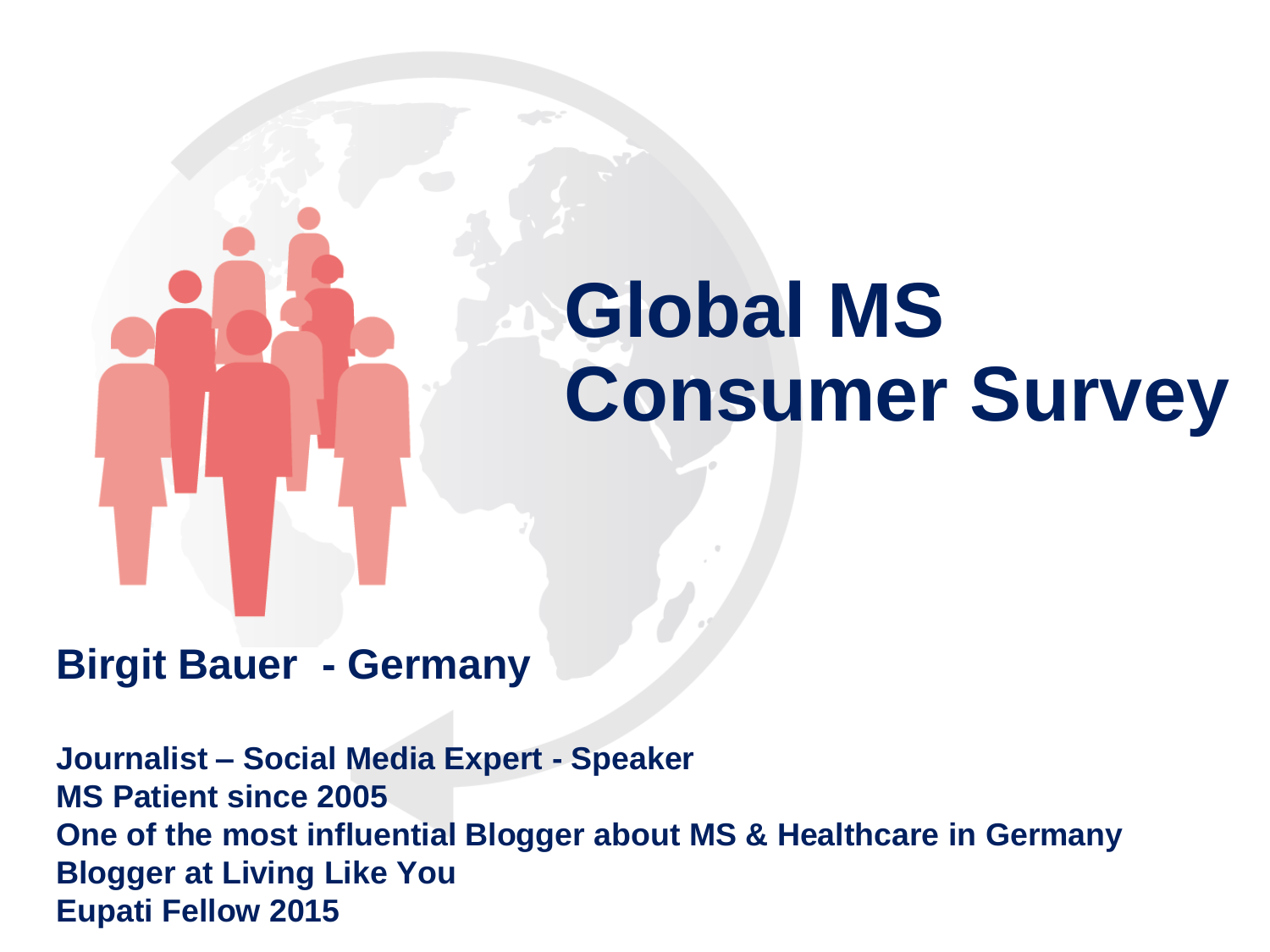# **Global MS Consumer Survey**

### **Birgit Bauer - Germany**

**Journalist – Social Media Expert - Speaker MS Patient since 2005 One of the most influential Blogger about MS & Healthcare in Germany Blogger at Living Like You Eupati Fellow 2015**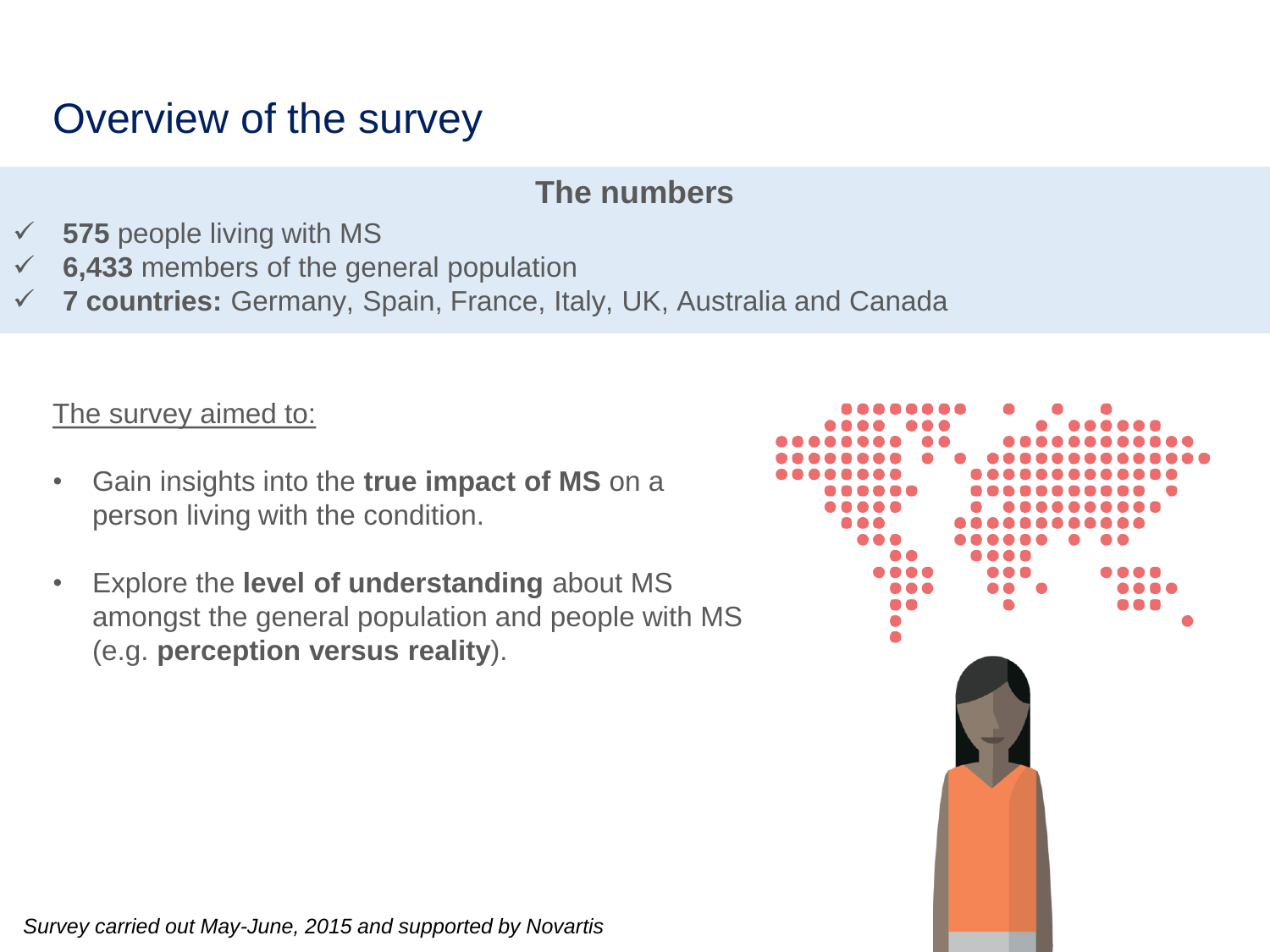## Overview of the survey

#### **The numbers**

- **575** people living with MS
- **6,433** members of the general population
- **7 countries:** Germany, Spain, France, Italy, UK, Australia and Canada

The survey aimed to:

- Gain insights into the **true impact of MS** on a person living with the condition.
- Explore the **level of understanding** about MS amongst the general population and people with MS (e.g. **perception versus reality**).



*Survey carried out May-June, 2015 and supported by Novartis*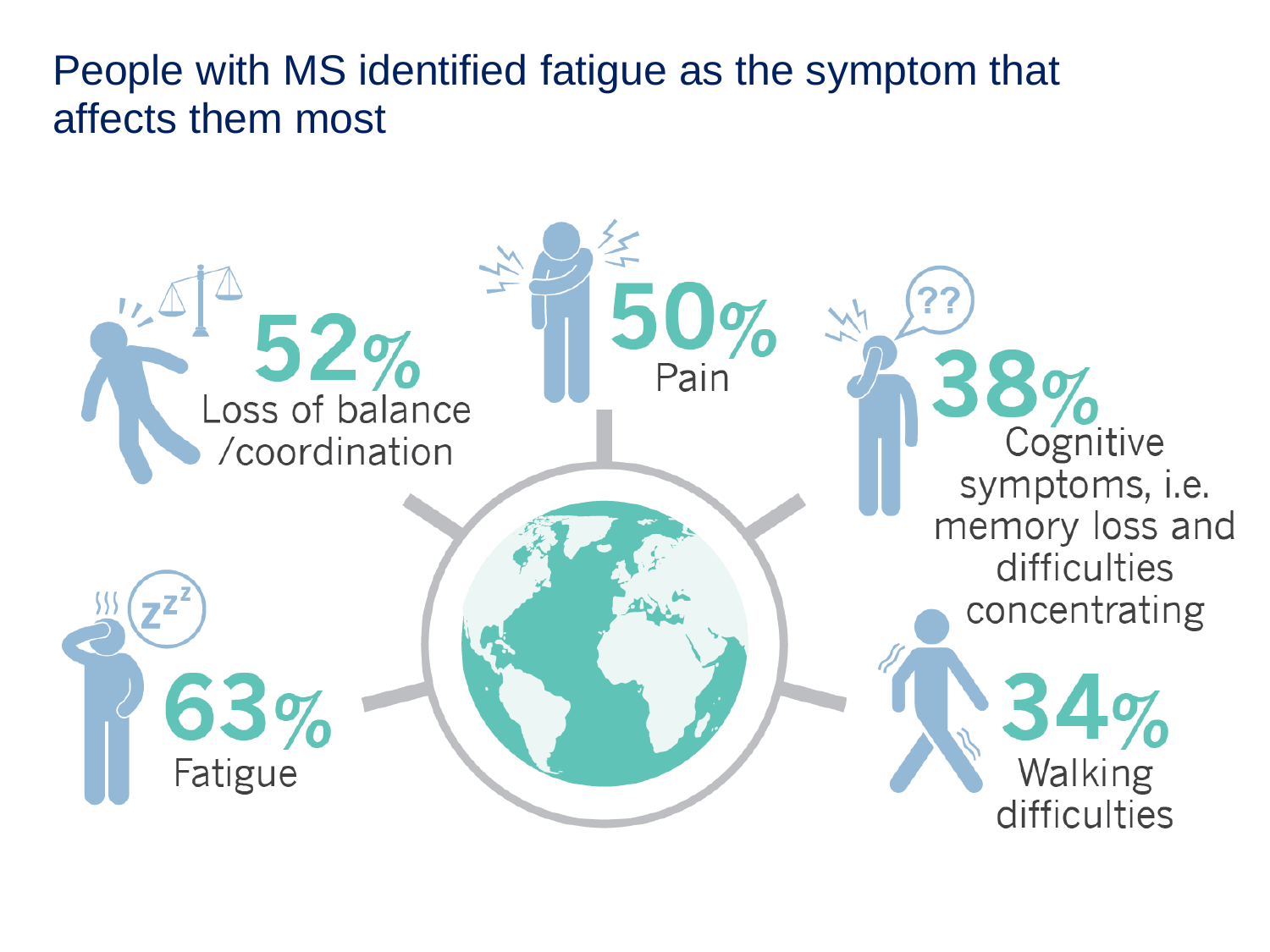People with MS identified fatigue as the symptom that affects them most

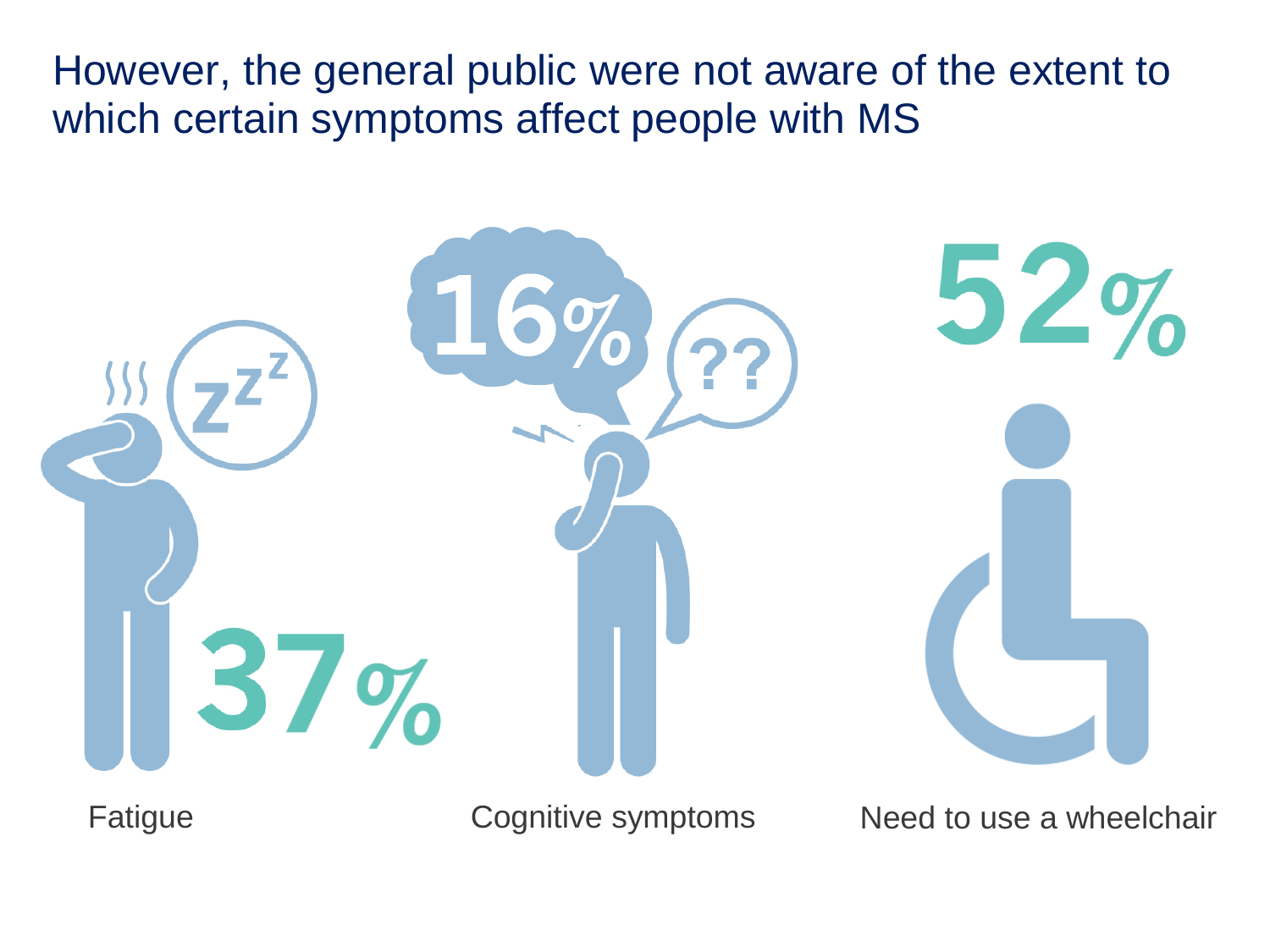However, the general public were not aware of the extent to which certain symptoms affect people with MS



Fatigue **Cognitive symptoms** Need to use a wheelchair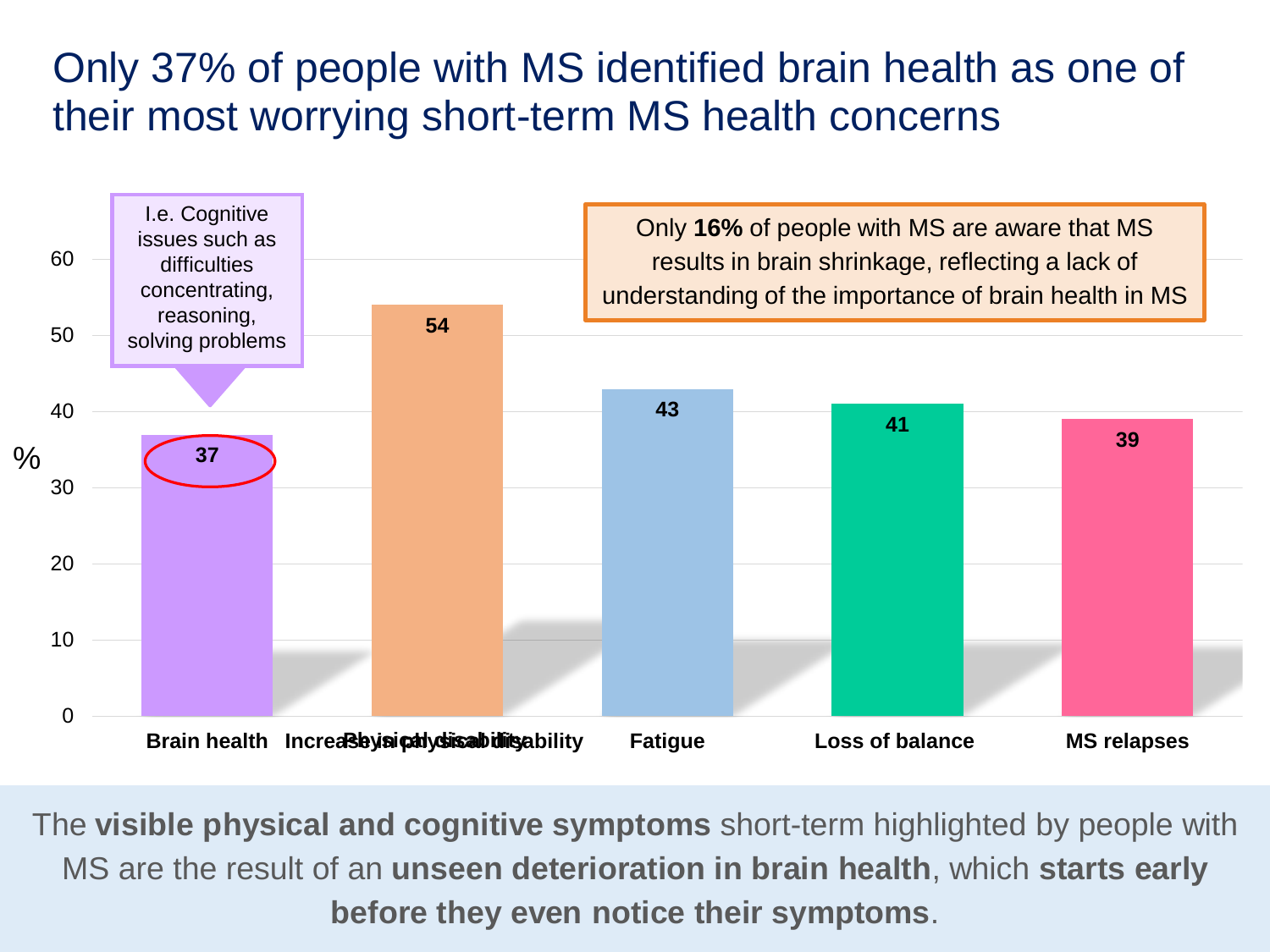## Only 37% of people with MS identified brain health as one of their most worrying short-term MS health concerns



The **visible physical and cognitive symptoms** short-term highlighted by people with MS are the result of an **unseen deterioration in brain health**, which **starts early before they even notice their symptoms**.